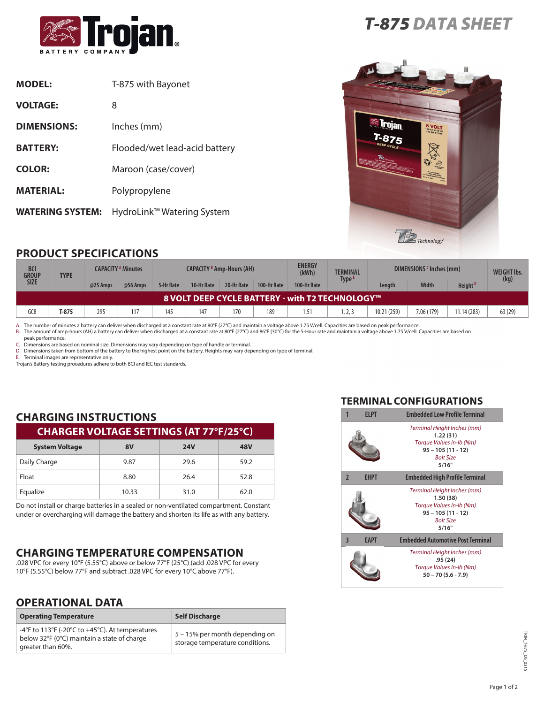

| <b>MODEL:</b>           | T-875 with Bayonet            |
|-------------------------|-------------------------------|
| <b>VOLTAGE:</b>         | 8                             |
| <b>DIMENSIONS:</b>      | Inches (mm)                   |
| <b>BATTERY:</b>         | Flooded/wet lead-acid battery |
| <b>COLOR:</b>           | Maroon (case/cover)           |
| <b>MATERIAL:</b>        | Polypropylene                 |
| <b>WATERING SYSTEM:</b> | HydroLink™ Watering System    |





## **PRODUCT SPECIFICATIONS**

| <b>BCI</b><br><b>GROUP</b><br><b>TYPE</b> |                                                        | <b>CAPACITY A Minutes</b> |          | <b>CAPACITY B Amp-Hours (AH)</b> |            |            | <b>ENERGY</b><br>(kWh) | <b>TERMINAL</b> | DIMENSIONS 'Inches (mm) |             |              | <b>WEIGHT Ibs.</b>  |         |
|-------------------------------------------|--------------------------------------------------------|---------------------------|----------|----------------------------------|------------|------------|------------------------|-----------------|-------------------------|-------------|--------------|---------------------|---------|
| <b>SIZE</b>                               |                                                        | @25 Amps                  | @56 Amps | 5-Hr Rate                        | 10-Hr Rate | 20-Hr Rate | 100-Hr Rate            | 100-Hr Rate     | Type <sup>t</sup>       | Lenath      | <b>Width</b> | Height <sup>D</sup> | (kg)    |
|                                           | <b>8 VOLT DEEP CYCLE BATTERY - with T2 TECHNOLOGY™</b> |                           |          |                                  |            |            |                        |                 |                         |             |              |                     |         |
| GC8                                       | T-875                                                  | 295                       | 117      | 145                              | 147        | 170        | 189                    | 1.51            | 1, 2, 3                 | 10.21 (259) | 7.06 (179)   | 11.14(283)          | 63 (29) |

A. The number of minutes a battery can deliver when discharged at a constant rate at 80°F (27°C) and maintain a voltage above 1.75 V/cell. Capacities are based on peak performance.<br>B. The amount of amp-hours (AH) a battery

peak performance.

C. Dimensions are based on nominal size. Dimensions may vary depending on type of handle or terminal.

D. Dimensions taken from bottom of the battery to the highest point on the battery. Heights may vary depending on type of terminal.

E. Terminal images are representative only.

Trojan's Battery testing procedures adhere to both BCI and IEC test standards.

# **CHARGING INSTRUCTIONS**

| <b>CHARGER VOLTAGE SETTINGS (AT 77°F/25°C)</b> |       |            |      |  |
|------------------------------------------------|-------|------------|------|--|
| <b>System Voltage</b>                          | 8V    | <b>24V</b> | 48V  |  |
| Daily Charge                                   | 9.87  | 29.6       | 59.2 |  |
| Float                                          | 8.80  | 26.4       | 52.8 |  |
| Equalize                                       | 10.33 | 31.0       | 62.0 |  |

Do not install or charge batteries in a sealed or non-ventilated compartment. Constant under or overcharging will damage the battery and shorten its life as with any battery.

#### **CHARGING TEMPERATURE COMPENSATION**

.028 VPC for every 10°F (5.55°C) above or below 77°F (25°C) (add .028 VPC for every 10°F (5.55°C) below 77°F and subtract .028 VPC for every 10°C above 77°F).

#### **OPERATIONAL DATA**

| <b>Operating Temperature</b>                                                                                        | <b>Self Discharge</b>                                             |
|---------------------------------------------------------------------------------------------------------------------|-------------------------------------------------------------------|
| -4°F to 113°F (-20°C to +45°C). At temperatures<br>below 32°F (0°C) maintain a state of charge<br>greater than 60%. | 5 – 15% per month depending on<br>storage temperature conditions. |

#### **TERMINAL CONFIGURATIONS**

| <b>FIPT</b>                            | <b>Embedded Low Profile Terminal</b>                                                                                    |  |  |  |  |
|----------------------------------------|-------------------------------------------------------------------------------------------------------------------------|--|--|--|--|
|                                        | Terminal Height Inches (mm)<br>1.22(31)<br>Torque Values in-lb (Nm)<br>$95 - 105(11 - 12)$<br><b>Bolt Size</b><br>5/16" |  |  |  |  |
| $\overline{2}$<br><b>EHPT</b>          | <b>Embedded High Profile Terminal</b>                                                                                   |  |  |  |  |
|                                        | Terminal Height Inches (mm)<br>1.50(38)<br>Torque Values in-lb (Nm)<br>$95 - 105(11 - 12)$<br><b>Bolt Size</b><br>5/16" |  |  |  |  |
| $\overline{\mathbf{3}}$<br><b>EAPT</b> | <b>Embedded Automotive Post Terminal</b>                                                                                |  |  |  |  |
|                                        | Terminal Height Inches (mm)<br>.95(24)<br>Torque Values in-Ib (Nm)<br>$50 - 70 (5.6 - 7.9)$                             |  |  |  |  |